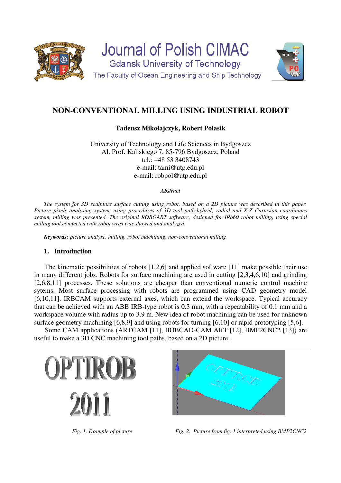

# **NON-CONVENTIONAL MILLING USING INDUSTRIAL ROBOT**

## **Tadeusz Mikołajczyk, Robert Polasik**

University of Technology and Life Sciences in Bydgoszcz Al. Prof. Kaliskiego 7, 85-796 Bydgoszcz, Poland tel.: +48 53 3408743 e-mail: tami@utp.edu.pl e-mail: robpol@utp.edu.pl

#### *Abstract*

*The system for 3D sculpture surface cutting using robot, based on a 2D picture was described in this paper. Picture pixels analysing system, using procedures of 3D tool path-hybrid; radial and X-Z Cartesian coordinates system, milling was presented. The original ROBOART software, designed for IRb60 robot milling, using special milling tool connected with robot wrist was showed and analyzed.* 

*Keywords: picture analyse, milling, robot machining, non-conventional milling* 

## **1. Introduction**

The kinematic possibilities of robots [1,2,6] and applied software [11] make possible their use in many different jobs. Robots for surface machining are used in cutting [2,3,4,6,10] and grinding [2,6,8,11] processes. These solutions are cheaper than conventional numeric control machine sytems. Most surface processing with robots are programmed using CAD geometry model [6,10,11]. IRBCAM supports external axes, which can extend the workspace. Typical accuracy that can be achieved with an ABB IRB-type robot is 0.3 mm, with a repeatability of 0.1 mm and a workspace volume with radius up to 3.9 m. New idea of robot machining can be used for unknown surface geometry machining [6,8,9] and using robots for turning [6,10] or rapid prototyping [5,6].

Some CAM applications (ARTCAM [11], BOBCAD-CAM ART [12], BMP2CNC2 [13]) are useful to make a 3D CNC machining tool paths, based on a 2D picture.



*Fig. 1. Example of picture* Fig. 2. Picture from fig. 1 interpreted using BMP2CNC2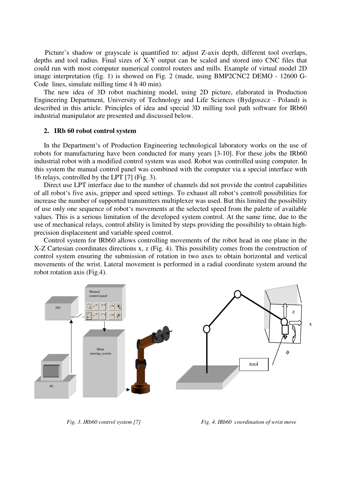Picture's shadow or grayscale is quantified to: adjust Z-axis depth, different tool overlaps, depths and tool radius. Final sizes of X-Y output can be scaled and stored into CNC files that could run with most computer numerical control routers and mills. Example of virtual model 2D image interpretation (fig. 1) is showed on Fig. 2 (made, using BMP2CNC2 DEMO - 12600 G-Code lines, simulate milling time 4 h 40 min).

The new idea of 3D robot machining model, using 2D picture, elaborated in Production Engineering Department, University of Technology and Life Sciences (Bydgoszcz - Poland) is described in this article. Principles of idea and special 3D milling tool path software for IRb60 industrial manipulator are presented and discussed below.

#### **2. IRb 60 robot control system**

In the Department's of Production Engineering technological laboratory works on the use of robots for manufacturing have been conducted for many years [3-10]. For these jobs the IRb60 industrial robot with a modified control system was used. Robot was controlled using computer. In this system the manual control panel was combined with the computer via a special interface with 16 relays, controlled by the LPT [7] (Fig. 3).

Direct use LPT interface due to the number of channels did not provide the control capabilities of all robot's five axis, gripper and speed settings. To exhaust all robot's controll possibilities for increase the number of supported transmitters multiplexer was used. But this limited the possibility of use only one sequence of robot's movements at the selected speed from the palette of available values. This is a serious limitation of the developed system control. At the same time, due to the use of mechanical relays, control ability is limited by steps providing the possibility to obtain highprecision displacement and variable speed control.

Control system for IRb60 allows controlling movements of the robot head in one plane in the X-Z Cartesian coordinates directions x, z (Fig. 4). This possibility comes from the construction of control system ensuring the submission of rotation in two axes to obtain horizontal and vertical movements of the wrist. Lateral movement is performed in a radial coordinate system around the robot rotation axis (Fig.4).



*Fig. 3. IRb60 control system [7] Fig. 4. IRb60 coordination of wrist move*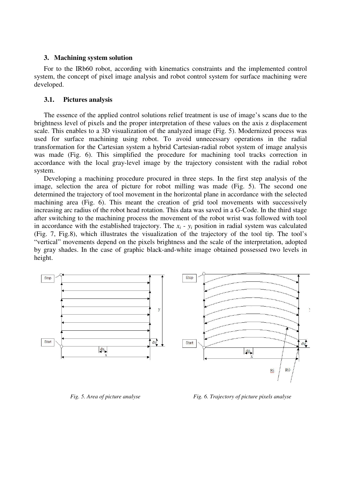### **3. Machining system solution**

For to the IRb60 robot, according with kinematics constraints and the implemented control system, the concept of pixel image analysis and robot control system for surface machining were developed.

### **3.1. Pictures analysis**

The essence of the applied control solutions relief treatment is use of image's scans due to the brightness level of pixels and the proper interpretation of these values on the axis z displacement scale. This enables to a 3D visualization of the analyzed image (Fig. 5). Modernized process was used for surface machining using robot. To avoid unnecessary operations in the radial transformation for the Cartesian system a hybrid Cartesian-radial robot system of image analysis was made (Fig. 6). This simplified the procedure for machining tool tracks correction in accordance with the local gray-level image by the trajectory consistent with the radial robot system.

Developing a machining procedure procured in three steps. In the first step analysis of the image, selection the area of picture for robot milling was made (Fig. 5). The second one determined the trajectory of tool movement in the horizontal plane in accordance with the selected machining area (Fig. 6). This meant the creation of grid tool movements with successively increasing arc radius of the robot head rotation. This data was saved in a G-Code. In the third stage after switching to the machining process the movement of the robot wrist was followed with tool in accordance with the established trajectory. The  $x_i - y_i$  position in radial system was calculated (Fig. 7, Fig.8), which illustrates the visualization of the trajectory of the tool tip. The tool's "vertical" movements depend on the pixels brightness and the scale of the interpretation, adopted by gray shades. In the case of graphic black-and-white image obtained possessed two levels in height.



*Fig. 5. Area of picture analyse Fig. 6. Trajectory of picture pixels analyse*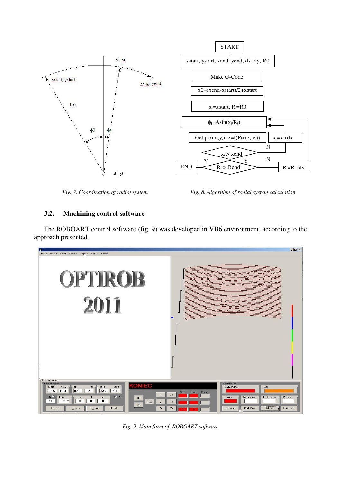

*Fig. 7. Coordination of radial system Fig. 8. Algorithm of radial system calculation* 

# **3.2. Machining control software**

The ROBOART control software (fig. 9) was developed in VB6 environment, according to the approach presented.

| 蜜                                                                                                                                                                                                                                                                                                                                                                                                                                                                                                          | $   $ $  $ $\times$ $ $                                |
|------------------------------------------------------------------------------------------------------------------------------------------------------------------------------------------------------------------------------------------------------------------------------------------------------------------------------------------------------------------------------------------------------------------------------------------------------------------------------------------------------------|--------------------------------------------------------|
| Device Source Save Preview Display Format Radial<br><b>OPTIROB</b><br><b>2011</b>                                                                                                                                                                                                                                                                                                                                                                                                                          |                                                        |
| <b>Control Panel</b><br>Coordinations<br>Machine tool<br><b>KONIEC</b><br>$yend -$<br>Main engine<br>xstart<br>$y$ start $-$<br>- dx<br>$dy -$<br>xend<br>0.25<br>31,052 92,832<br>254,73 178,15<br>$\overline{2}$<br>Start<br>Posuw<br>End<br>×.<br>$X_{+}$<br>LD O<br>Pixel<br>P<br>Cooling<br>Tools count<br>cf<br>cz<br>CX<br><b>On</b><br>1677,72<br>$\bf{0}$<br>$\mathbf 0$<br>10<br>0<br>Stop<br>Y-<br>$Y_{+}$<br>Off<br>Picture<br>C_Show<br>C_Hide<br>CodeClear<br>G-code<br>Z<br>$Z+$<br>Connect | Feed<br>- Tool number<br>D_Tool<br>NC run<br>Load Code |

*Fig. 9. Main form of ROBOART software*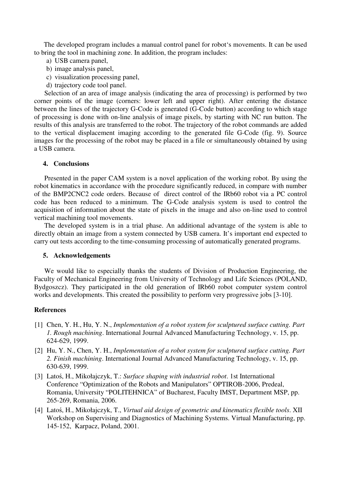The developed program includes a manual control panel for robot's movements. It can be used to bring the tool in machining zone. In addition, the program includes:

- a) USB camera panel,
- b) image analysis panel,
- c) visualization processing panel,
- d) trajectory code tool panel.

Selection of an area of image analysis (indicating the area of processing) is performed by two corner points of the image (corners: lower left and upper right). After entering the distance between the lines of the trajectory G-Code is generated (G-Code button) according to which stage of processing is done with on-line analysis of image pixels, by starting with NC run button. The results of this analysis are transferred to the robot. The trajectory of the robot commands are added to the vertical displacement imaging according to the generated file G-Code (fig. 9). Source images for the processing of the robot may be placed in a file or simultaneously obtained by using a USB camera.

### **4. Conclusions**

Presented in the paper CAM system is a novel application of the working robot. By using the robot kinematics in accordance with the procedure significantly reduced, in compare with number of the BMP2CNC2 code orders. Because of direct control of the IRb60 robot via a PC control code has been reduced to a minimum. The G-Code analysis system is used to control the acquisition of information about the state of pixels in the image and also on-line used to control vertical machining tool movements.

The developed system is in a trial phase. An additional advantage of the system is able to directly obtain an image from a system connected by USB camera. It's important end expected to carry out tests according to the time-consuming processing of automatically generated programs.

### **5. Acknowledgements**

We would like to especially thanks the students of Division of Production Engineering, the Faculty of Mechanical Engineering from University of Technology and Life Sciences (POLAND, Bydgoszcz). They participated in the old generation of IRb60 robot computer system control works and developments. This created the possibility to perform very progressive jobs [3-10].

### **References**

- [1] Chen, Y. H., Hu, Y. N., *Implementation of a robot system for sculptured surface cutting. Part 1. Rough machining*. International Journal Advanced Manufacturing Technology, v. 15, pp. 624-629, 1999.
- [2] Hu, Y. N., Chen, Y. H., *Implementation of a robot system for sculptured surface cutting. Part 2. Finish machining*. International Journal Advanced Manufacturing Technology, v. 15, pp. 630-639, 1999.
- [3] Latoś, H., Mikołajczyk, T.: *Surface shaping with industrial robot*. 1st International Conference "Optimization of the Robots and Manipulators" OPTIROB-2006, Predeal, Romania, University "POLITEHNICA" of Bucharest, Faculty IMST, Department MSP, pp. 265-269, Romania, 2006.
- [4] Latoś, H., Mikołajczyk, T., *Virtual aid design of geometric and kinematics flexible tools*. XII Workshop on Supervising and Diagnostics of Machining Systems. Virtual Manufacturing, pp. 145-152, Karpacz, Poland, 2001.